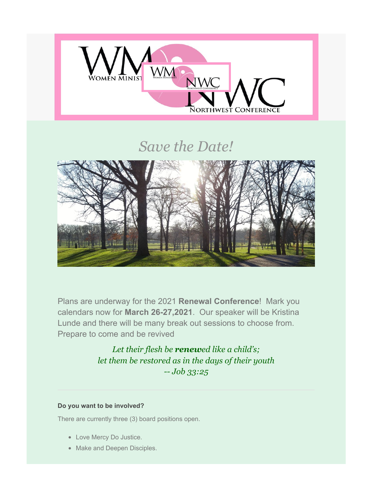

# *Save the Date!*



Plans are underway for the 2021 **Renewal Conference**! Mark you calendars now for **March 26-27,2021**. Our speaker will be Kristina Lunde and there will be many break out sessions to choose from. Prepare to come and be revived

> *Let their flesh be renewed like a child's; let them be restored as in the days of their youth -- Job 33:25*

## **Do you want to be involved?**

There are currently three (3) board positions open.

- Love Mercy Do Justice.
- Make and Deepen Disciples.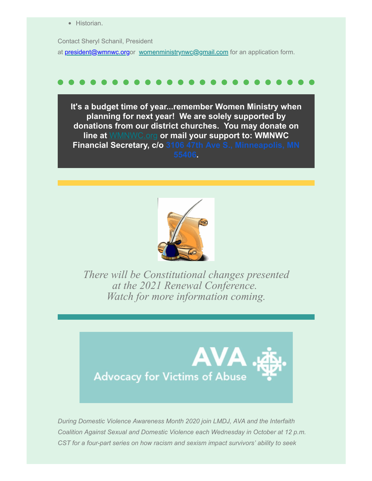• Historian.

Contact Sheryl Schanil, President at [president@wmnwc.orgo](https://wmnwc.us2.list-manage.com/track/click?u=d56fa369e8160b60e1d90f9e6&id=e85d8eeeb3&e=cadd164f9c)r [womenministrynwc@gmail.com](mailto:womenministrynwc@gmail.com) for an application form.

**It's a budget time of year...remember Women Ministry when planning for next year! We are solely supported by donations from our district churches. You may donate on line at** [WMNWC.org](https://wmnwc.us2.list-manage.com/track/click?u=d56fa369e8160b60e1d90f9e6&id=6be7c3beec&e=cadd164f9c) **or mail your support to: WMNWC Financial Secretary, c/o [3106 47th Ave S., Minneapolis, MN](https://www.google.com/maps/search/3106+47th+Ave+S.,+Minneapolis,+MN+55406?entry=gmail&source=g) 55406.**



*There will be Constitutional changes presented at the 2021 Renewal Conference. Watch for more information coming.*



*During Domestic Violence Awareness Month 2020 join LMDJ, AVA and the Interfaith Coalition Against Sexual and Domestic Violence each Wednesday in October at 12 p.m. CST for a four-part series on how racism and sexism impact survivors' ability to seek*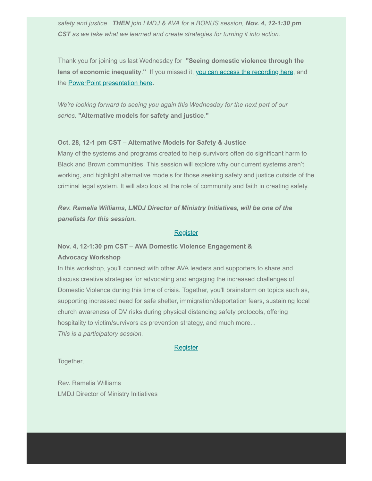*safety and justice. THEN join LMDJ & AVA for a BONUS session, Nov. 4, 12-1:30 pm CST as we take what we learned and create strategies for turning it into action.*

Thank you for joining us last Wednesday for **"Seeing domestic violence through the lens of economic inequality**.**"** If you missed it, [you can access the recording here,](https://wmnwc.us2.list-manage.com/track/click?u=d56fa369e8160b60e1d90f9e6&id=ad315c5513&e=cadd164f9c) and the [P](https://wmnwc.us2.list-manage.com/track/click?u=d56fa369e8160b60e1d90f9e6&id=7952b026cc&e=cadd164f9c)[owerPoint presentation here](https://wmnwc.us2.list-manage.com/track/click?u=d56fa369e8160b60e1d90f9e6&id=12323f3051&e=cadd164f9c)**.**

*We're looking forward to seeing you again this Wednesday for the next part of our series,* **"Alternative models for safety and justice**.**"**

#### **Oct. 28, 12-1 pm CST – Alternative Models for Safety & Justice**

Many of the systems and programs created to help survivors often do significant harm to Black and Brown communities. This session will explore why our current systems aren't working, and highlight alternative models for those seeking safety and justice outside of the criminal legal system. It will also look at the role of community and faith in creating safety.

*Rev. Ramelia Williams, LMDJ Director of Ministry Initiatives, will be one of the panelists for this session.*

### **[Register](https://wmnwc.us2.list-manage.com/track/click?u=d56fa369e8160b60e1d90f9e6&id=2f6eb34378&e=cadd164f9c)**

# **Nov. 4, 12-1:30 pm CST – AVA Domestic Violence Engagement & Advocacy Workshop**

In this workshop, you'll connect with other AVA leaders and supporters to share and discuss creative strategies for advocating and engaging the increased challenges of Domestic Violence during this time of crisis. Together, you'll brainstorm on topics such as, supporting increased need for safe shelter, immigration/deportation fears, sustaining local church awareness of DV risks during physical distancing safety protocols, offering hospitality to victim/survivors as prevention strategy, and much more... *This is a participatory session.*

#### **[Register](https://wmnwc.us2.list-manage.com/track/click?u=d56fa369e8160b60e1d90f9e6&id=a02d0d3ef5&e=cadd164f9c)**

Together,

Rev. Ramelia Williams LMDJ Director of Ministry Initiatives